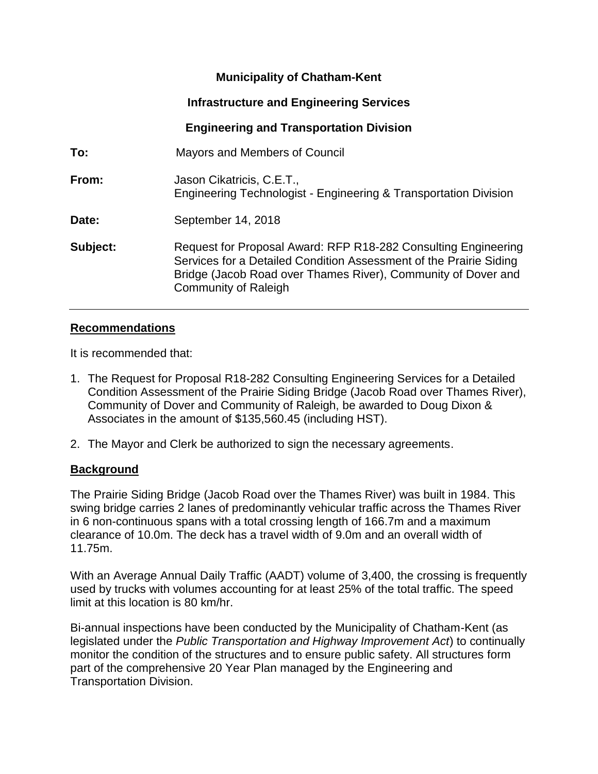# **Municipality of Chatham-Kent**

# **Infrastructure and Engineering Services**

# **Engineering and Transportation Division**

| To:      | Mayors and Members of Council                                                                                                                                                                                                        |
|----------|--------------------------------------------------------------------------------------------------------------------------------------------------------------------------------------------------------------------------------------|
| From:    | Jason Cikatricis, C.E.T.,<br>Engineering Technologist - Engineering & Transportation Division                                                                                                                                        |
| Date:    | September 14, 2018                                                                                                                                                                                                                   |
| Subject: | Request for Proposal Award: RFP R18-282 Consulting Engineering<br>Services for a Detailed Condition Assessment of the Prairie Siding<br>Bridge (Jacob Road over Thames River), Community of Dover and<br><b>Community of Raleigh</b> |

### **Recommendations**

It is recommended that:

- 1. The Request for Proposal R18-282 Consulting Engineering Services for a Detailed Condition Assessment of the Prairie Siding Bridge (Jacob Road over Thames River), Community of Dover and Community of Raleigh, be awarded to Doug Dixon & Associates in the amount of \$135,560.45 (including HST).
- 2. The Mayor and Clerk be authorized to sign the necessary agreements.

## **Background**

The Prairie Siding Bridge (Jacob Road over the Thames River) was built in 1984. This swing bridge carries 2 lanes of predominantly vehicular traffic across the Thames River in 6 non-continuous spans with a total crossing length of 166.7m and a maximum clearance of 10.0m. The deck has a travel width of 9.0m and an overall width of 11.75m.

With an Average Annual Daily Traffic (AADT) volume of 3,400, the crossing is frequently used by trucks with volumes accounting for at least 25% of the total traffic. The speed limit at this location is 80 km/hr.

Bi-annual inspections have been conducted by the Municipality of Chatham-Kent (as legislated under the *Public Transportation and Highway Improvement Act*) to continually monitor the condition of the structures and to ensure public safety. All structures form part of the comprehensive 20 Year Plan managed by the Engineering and Transportation Division.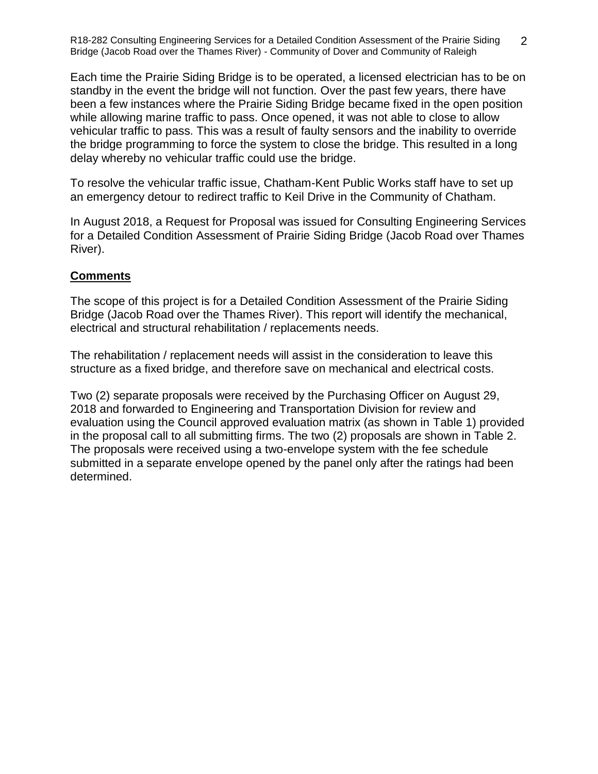Each time the Prairie Siding Bridge is to be operated, a licensed electrician has to be on standby in the event the bridge will not function. Over the past few years, there have been a few instances where the Prairie Siding Bridge became fixed in the open position while allowing marine traffic to pass. Once opened, it was not able to close to allow vehicular traffic to pass. This was a result of faulty sensors and the inability to override the bridge programming to force the system to close the bridge. This resulted in a long delay whereby no vehicular traffic could use the bridge.

To resolve the vehicular traffic issue, Chatham-Kent Public Works staff have to set up an emergency detour to redirect traffic to Keil Drive in the Community of Chatham.

In August 2018, a Request for Proposal was issued for Consulting Engineering Services for a Detailed Condition Assessment of Prairie Siding Bridge (Jacob Road over Thames River).

## **Comments**

The scope of this project is for a Detailed Condition Assessment of the Prairie Siding Bridge (Jacob Road over the Thames River). This report will identify the mechanical, electrical and structural rehabilitation / replacements needs.

The rehabilitation / replacement needs will assist in the consideration to leave this structure as a fixed bridge, and therefore save on mechanical and electrical costs.

Two (2) separate proposals were received by the Purchasing Officer on August 29, 2018 and forwarded to Engineering and Transportation Division for review and evaluation using the Council approved evaluation matrix (as shown in Table 1) provided in the proposal call to all submitting firms. The two (2) proposals are shown in Table 2. The proposals were received using a two-envelope system with the fee schedule submitted in a separate envelope opened by the panel only after the ratings had been determined.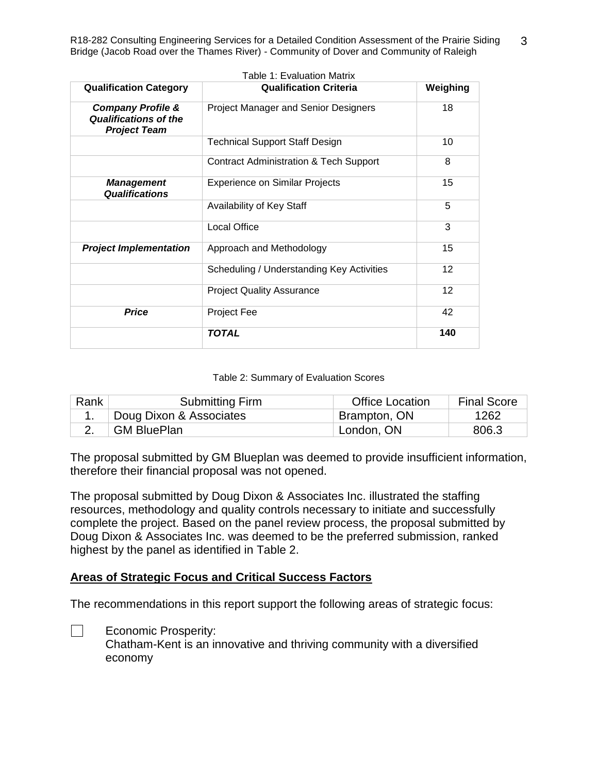| <b>Qualification Category</b>                                                       | <b>Qualification Criteria</b>               | Weighing |
|-------------------------------------------------------------------------------------|---------------------------------------------|----------|
| <b>Company Profile &amp;</b><br><b>Qualifications of the</b><br><b>Project Team</b> | <b>Project Manager and Senior Designers</b> | 18       |
|                                                                                     | <b>Technical Support Staff Design</b>       | 10       |
|                                                                                     | Contract Administration & Tech Support      | 8        |
| <b>Management</b><br><b>Qualifications</b>                                          | <b>Experience on Similar Projects</b>       | 15       |
|                                                                                     | Availability of Key Staff                   | 5        |
|                                                                                     | <b>Local Office</b>                         | 3        |
| <b>Project Implementation</b>                                                       | Approach and Methodology                    | 15       |
|                                                                                     | Scheduling / Understanding Key Activities   | 12       |
|                                                                                     | <b>Project Quality Assurance</b>            | 12       |
| <b>Price</b>                                                                        | Project Fee                                 | 42       |
|                                                                                     | <b>TOTAL</b>                                | 140      |

#### Table 2: Summary of Evaluation Scores

| Rank | <b>Submitting Firm</b>  | <b>Office Location</b> | <b>Final Score</b> |
|------|-------------------------|------------------------|--------------------|
|      | Doug Dixon & Associates | Brampton, ON           | 1262               |
|      | <b>GM BluePlan</b>      | London, ON             | 806.3              |

The proposal submitted by GM Blueplan was deemed to provide insufficient information, therefore their financial proposal was not opened.

The proposal submitted by Doug Dixon & Associates Inc. illustrated the staffing resources, methodology and quality controls necessary to initiate and successfully complete the project. Based on the panel review process, the proposal submitted by Doug Dixon & Associates Inc. was deemed to be the preferred submission, ranked highest by the panel as identified in Table 2.

#### **Areas of Strategic Focus and Critical Success Factors**

The recommendations in this report support the following areas of strategic focus:

 $\Box$ Economic Prosperity:

> Chatham-Kent is an innovative and thriving community with a diversified economy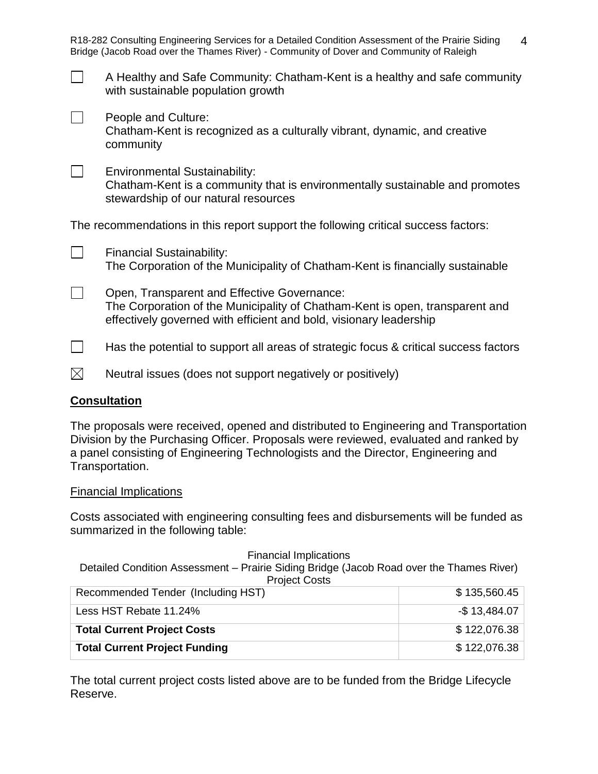| A Healthy and Safe Community: Chatham-Kent is a healthy and safe community<br>with sustainable population growth |  |
|------------------------------------------------------------------------------------------------------------------|--|
| People and Culture:                                                                                              |  |

Chatham-Kent is recognized as a culturally vibrant, dynamic, and creative community

 $\Box$ Environmental Sustainability:

Chatham-Kent is a community that is environmentally sustainable and promotes stewardship of our natural resources

The recommendations in this report support the following critical success factors:

| <b>Financial Sustainability:</b><br>The Corporation of the Municipality of Chatham-Kent is financially sustainable |
|--------------------------------------------------------------------------------------------------------------------|
| Open, Transparent and Effective Governance:                                                                        |

Open, Transparent and Effective Governance: The Corporation of the Municipality of Chatham-Kent is open, transparent and effectively governed with efficient and bold, visionary leadership

- $\Box$ Has the potential to support all areas of strategic focus & critical success factors
- $\boxtimes$ Neutral issues (does not support negatively or positively)

## **Consultation**

The proposals were received, opened and distributed to Engineering and Transportation Division by the Purchasing Officer. Proposals were reviewed, evaluated and ranked by a panel consisting of Engineering Technologists and the Director, Engineering and Transportation.

#### Financial Implications

Costs associated with engineering consulting fees and disbursements will be funded as summarized in the following table:

Financial Implications Detailed Condition Assessment – Prairie Siding Bridge (Jacob Road over the Thames River) Project Costs Recommended Tender (Including HST)  $$ 135,560.45$ Less HST Rebate 11.24% -  $\sim$  13,484.07 **Total Current Project Costs**  $\bullet$  **122,076.38 Total Current Project Funding <br>
<b>Total Current Project Funding** <br> **Example 2018** <br> **Example 2018** <br> **Example 2018** <br> **Example 2018** <br> **Example 2018** <br> **Example 2018** <br> **Example 2019** <br> **Example 2019** <br> **Example 2019** <br> **E** 

The total current project costs listed above are to be funded from the Bridge Lifecycle Reserve.